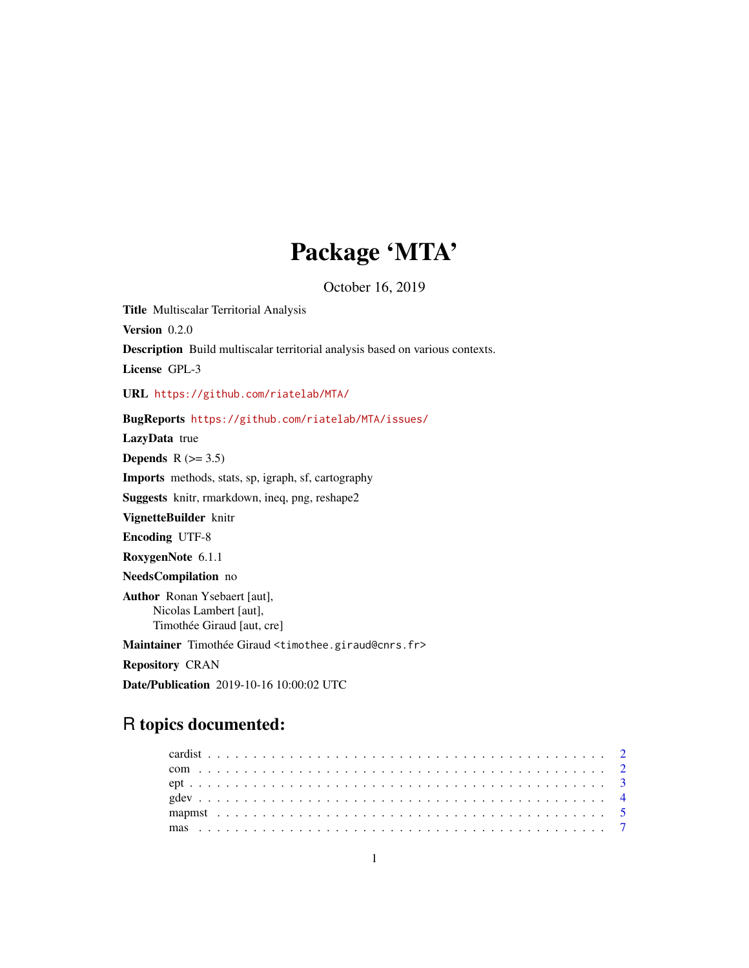# Package 'MTA'

October 16, 2019

<span id="page-0-0"></span>Title Multiscalar Territorial Analysis Version 0.2.0 Description Build multiscalar territorial analysis based on various contexts. License GPL-3 URL <https://github.com/riatelab/MTA/> BugReports <https://github.com/riatelab/MTA/issues/> LazyData true Depends  $R$  ( $>= 3.5$ ) Imports methods, stats, sp, igraph, sf, cartography Suggests knitr, rmarkdown, ineq, png, reshape2 VignetteBuilder knitr Encoding UTF-8 RoxygenNote 6.1.1 NeedsCompilation no Author Ronan Ysebaert [aut], Nicolas Lambert [aut], Timothée Giraud [aut, cre] Maintainer Timothée Giraud <timothee.giraud@cnrs.fr> Repository CRAN Date/Publication 2019-10-16 10:00:02 UTC

## R topics documented: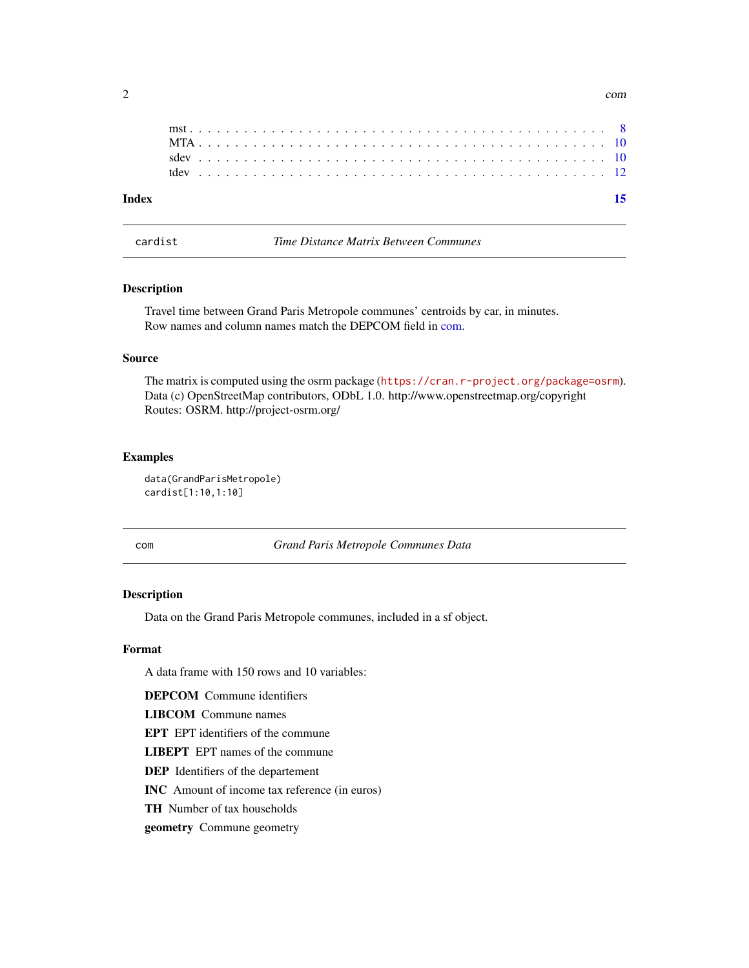<span id="page-1-0"></span>

cardist *Time Distance Matrix Between Communes*

## Description

Travel time between Grand Paris Metropole communes' centroids by car, in minutes. Row names and column names match the DEPCOM field in [com.](#page-1-1)

#### Source

The matrix is computed using the osrm package (<https://cran.r-project.org/package=osrm>). Data (c) OpenStreetMap contributors, ODbL 1.0. http://www.openstreetmap.org/copyright Routes: OSRM. http://project-osrm.org/

## Examples

```
data(GrandParisMetropole)
cardist[1:10,1:10]
```
<span id="page-1-1"></span>com *Grand Paris Metropole Communes Data*

## Description

Data on the Grand Paris Metropole communes, included in a sf object.

### Format

A data frame with 150 rows and 10 variables:

DEPCOM Commune identifiers

LIBCOM Commune names

EPT EPT identifiers of the commune

LIBEPT EPT names of the commune

DEP Identifiers of the departement

INC Amount of income tax reference (in euros)

TH Number of tax households

geometry Commune geometry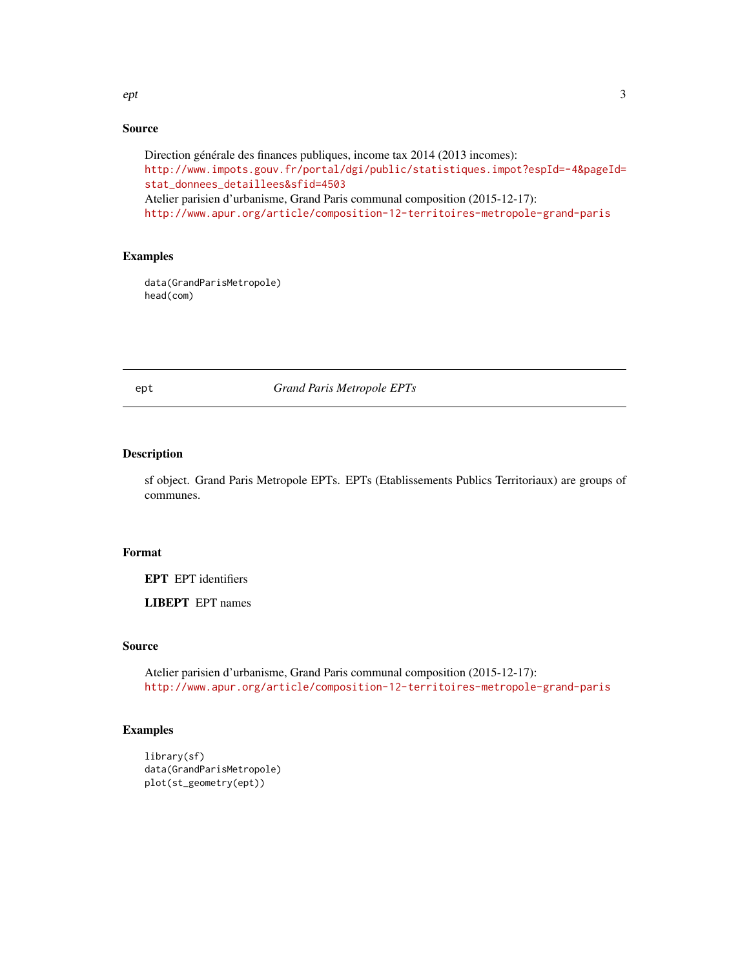#### <span id="page-2-0"></span>ept 3

## Source

```
Direction générale des finances publiques, income tax 2014 (2013 incomes):
http://www.impots.gouv.fr/portal/dgi/public/statistiques.impot?espId=-4&pageId=
stat_donnees_detaillees&sfid=4503
Atelier parisien d'urbanisme, Grand Paris communal composition (2015-12-17):
http://www.apur.org/article/composition-12-territoires-metropole-grand-paris
```
## Examples

```
data(GrandParisMetropole)
head(com)
```
ept *Grand Paris Metropole EPTs*

## Description

sf object. Grand Paris Metropole EPTs. EPTs (Etablissements Publics Territoriaux) are groups of communes.

## Format

EPT EPT identifiers

LIBEPT EPT names

## Source

Atelier parisien d'urbanisme, Grand Paris communal composition (2015-12-17): <http://www.apur.org/article/composition-12-territoires-metropole-grand-paris>

```
library(sf)
data(GrandParisMetropole)
plot(st_geometry(ept))
```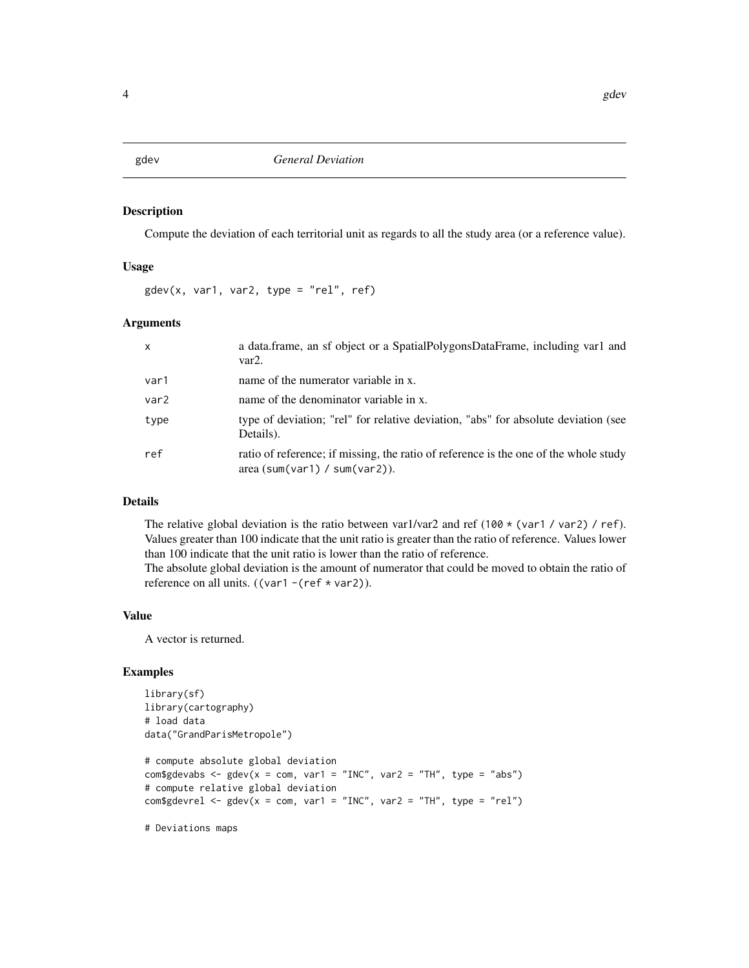#### <span id="page-3-1"></span><span id="page-3-0"></span>Description

Compute the deviation of each territorial unit as regards to all the study area (or a reference value).

#### Usage

 $gdev(x, var1, var2, type = "rel", ref)$ 

## Arguments

| $\mathsf{x}$     | a data.frame, an sf object or a SpatialPolygonsDataFrame, including var1 and<br>var2.                                 |
|------------------|-----------------------------------------------------------------------------------------------------------------------|
| var1             | name of the numerator variable in x.                                                                                  |
| var <sub>2</sub> | name of the denominator variable in x.                                                                                |
| type             | type of deviation; "rel" for relative deviation, "abs" for absolute deviation (see<br>Details).                       |
| ref              | ratio of reference; if missing, the ratio of reference is the one of the whole study<br>area (sum(var1) / sum(var2)). |

## Details

The relative global deviation is the ratio between var1/var2 and ref (100 \* (var1 / var2) / ref). Values greater than 100 indicate that the unit ratio is greater than the ratio of reference. Values lower than 100 indicate that the unit ratio is lower than the ratio of reference.

The absolute global deviation is the amount of numerator that could be moved to obtain the ratio of reference on all units. ((var1 -(ref  $*$  var2)).

#### Value

A vector is returned.

## Examples

```
library(sf)
library(cartography)
# load data
data("GrandParisMetropole")
```
# compute absolute global deviation com\$gdevabs <- gdev( $x = com$ , var1 = "INC", var2 = "TH", type = "abs") # compute relative global deviation com\$gdevrel <- gdev( $x = com$ , var1 = "INC", var2 = "TH", type = "rel")

# Deviations maps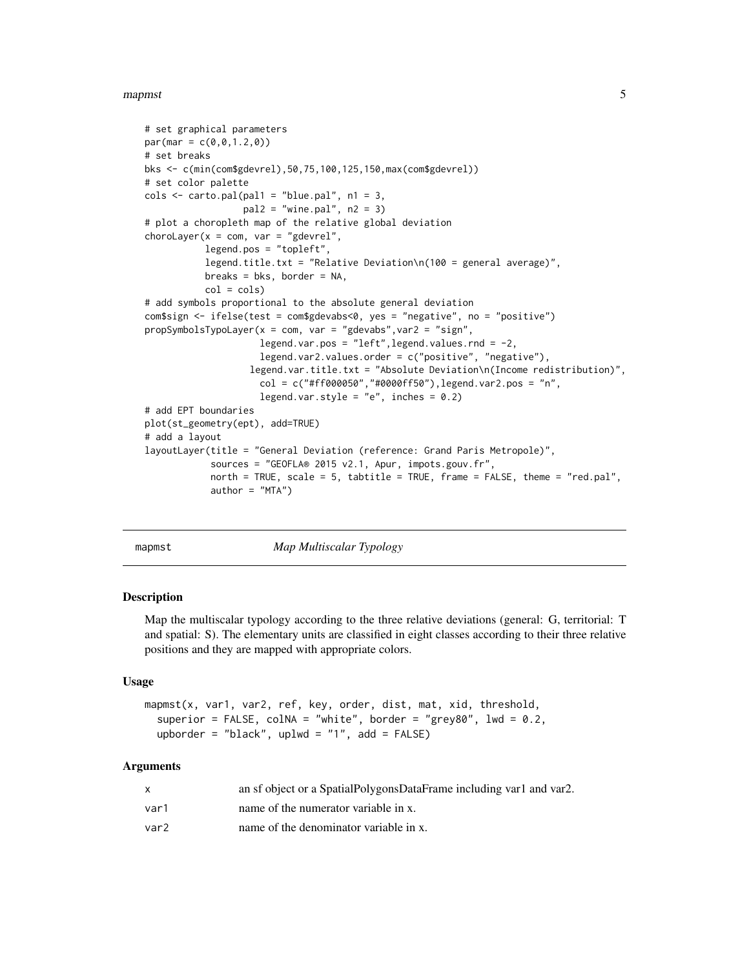#### <span id="page-4-0"></span>mapmst 5

```
# set graphical parameters
par(max = c(0, 0, 1.2, 0))# set breaks
bks <- c(min(com$gdevrel),50,75,100,125,150,max(com$gdevrel))
# set color palette
\text{cols} \leq \text{carto.pal}(\text{pal1} = \text{"blue.pal", n1 = 3},pal2 = "wine.pal", n2 = 3)# plot a choropleth map of the relative global deviation
chorolayer(x = com, var = "gdevrel",legend.pos = "topleft",
           legend.title.txt = "Relative Deviation\n(100 = general average)",
           breaks = bks, border = NA,
           col = cols)# add symbols proportional to the absolute general deviation
com$sign <- ifelse(test = com$gdevabs<0, yes = "negative", no = "positive")
propSymbolsTypoLayer(x = com, var = "gdevabs",var2 = "sign",
                     legend.var.pos = "left",legend.values.rnd = -2,
                     legend.var2.values.order = c("positive", "negative"),
                    legend.var.title.txt = "Absolute Deviation\n(Income redistribution)",
                     col = c("#ff000050", "#0000ff50"), legend.var2.pos = "n",legend.var.style = "e", inches = 0.2)
# add EPT boundaries
plot(st_geometry(ept), add=TRUE)
# add a layout
layoutLayer(title = "General Deviation (reference: Grand Paris Metropole)",
            sources = "GEOFLA® 2015 v2.1, Apur, impots.gouv.fr",
            north = TRUE, scale = 5, tabtitle = TRUE, frame = FALSE, theme = "red.pal",
            author = "MTA")
```
<span id="page-4-1"></span>

mapmst *Map Multiscalar Typology*

## **Description**

Map the multiscalar typology according to the three relative deviations (general: G, territorial: T and spatial: S). The elementary units are classified in eight classes according to their three relative positions and they are mapped with appropriate colors.

#### Usage

```
mapmst(x, var1, var2, ref, key, order, dist, mat, xid, threshold,
  superior = FALSE, collNA = "white", border = "grey80", lwd = 0.2,upborder = "black", uplwd = "1", add = FALSE)
```

|      | an sf object or a SpatialPolygonsDataFrame including var1 and var2. |
|------|---------------------------------------------------------------------|
| var1 | name of the numerator variable in x.                                |
| var2 | name of the denominator variable in x.                              |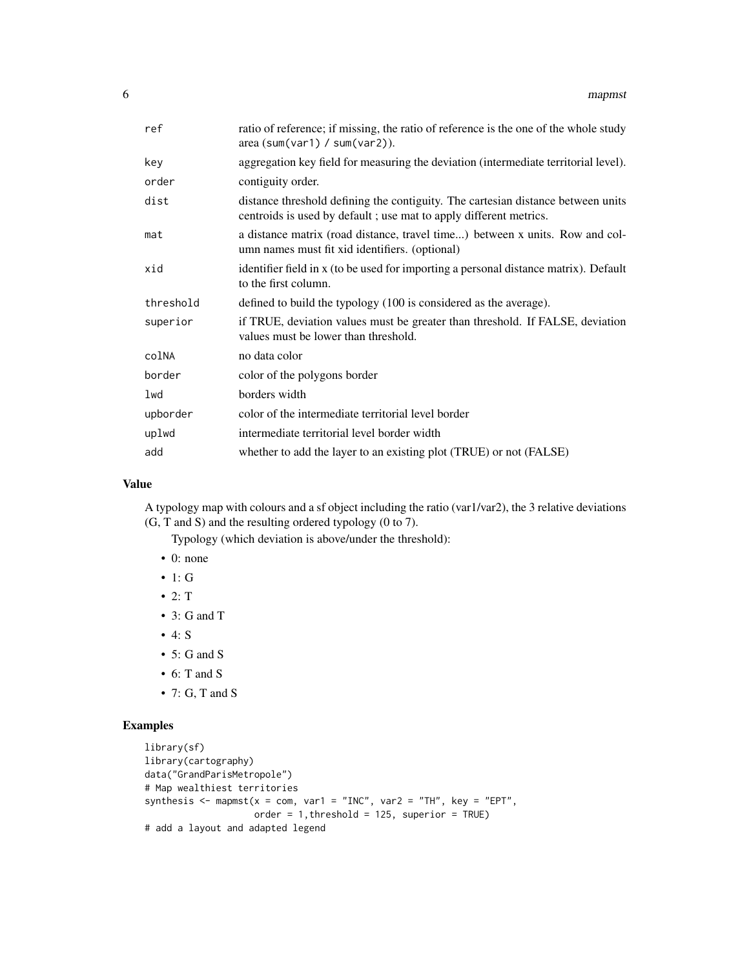| ref       | ratio of reference; if missing, the ratio of reference is the one of the whole study<br>area (sum(var1) / sum(var2)).                                 |
|-----------|-------------------------------------------------------------------------------------------------------------------------------------------------------|
| key       | aggregation key field for measuring the deviation (intermediate territorial level).                                                                   |
| order     | contiguity order.                                                                                                                                     |
| dist      | distance threshold defining the contiguity. The cartesian distance between units<br>centroids is used by default; use mat to apply different metrics. |
| mat       | a distance matrix (road distance, travel time) between x units. Row and col-<br>umn names must fit xid identifiers. (optional)                        |
| xid       | identifier field in x (to be used for importing a personal distance matrix). Default<br>to the first column.                                          |
| threshold | defined to build the typology (100 is considered as the average).                                                                                     |
| superior  | if TRUE, deviation values must be greater than threshold. If FALSE, deviation<br>values must be lower than threshold.                                 |
| colNA     | no data color                                                                                                                                         |
| border    | color of the polygons border                                                                                                                          |
| lwd       | borders width                                                                                                                                         |
| upborder  | color of the intermediate territorial level border                                                                                                    |
| uplwd     | intermediate territorial level border width                                                                                                           |
| add       | whether to add the layer to an existing plot (TRUE) or not (FALSE)                                                                                    |

### Value

A typology map with colours and a sf object including the ratio (var1/var2), the 3 relative deviations (G, T and S) and the resulting ordered typology (0 to 7).

Typology (which deviation is above/under the threshold):

- 0: none
- $\bullet$  1: G
- 2:  $T$
- 3: G and T
- $4: S$
- $\bullet$  5: G and S
- 6: T and S
- $\bullet$  7: G, T and S

```
library(sf)
library(cartography)
data("GrandParisMetropole")
# Map wealthiest territories
synthesis \leq mapmst(x = com, var1 = "INC", var2 = "TH", key = "EPT",
                    order = 1, threshold = 125, superior = TRUE)
# add a layout and adapted legend
```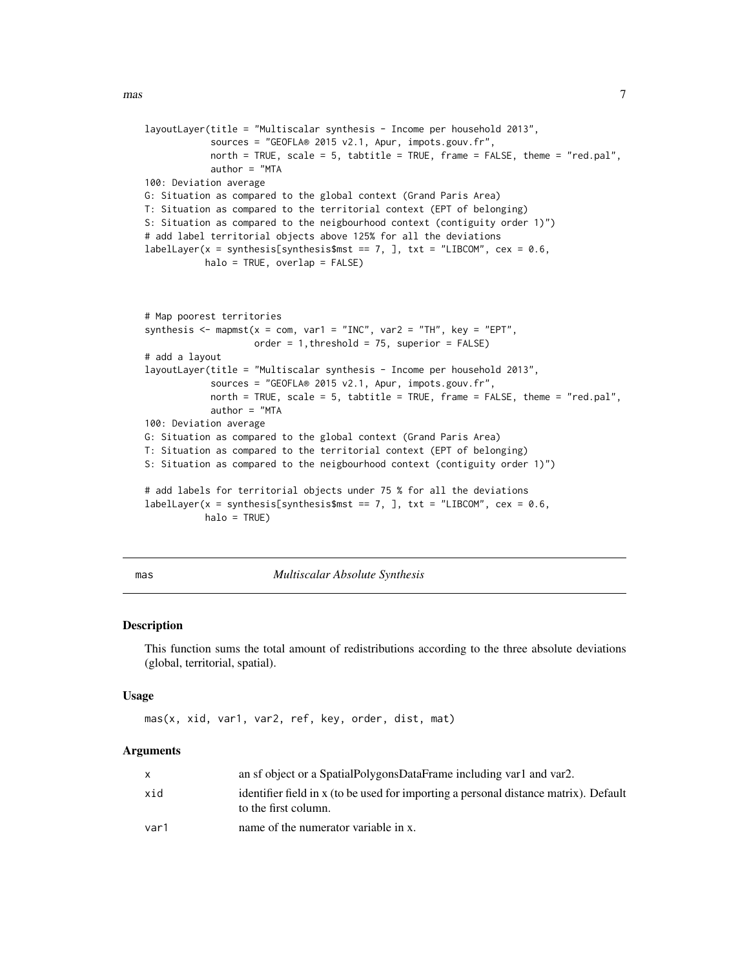```
layoutLayer(title = "Multiscalar synthesis - Income per household 2013",
            sources = "GEOFLA® 2015 v2.1, Apur, impots.gouv.fr",
            north = TRUE, scale = 5, tabtitle = TRUE, frame = FALSE, theme = "red.pal",
            author = "MTA
100: Deviation average
G: Situation as compared to the global context (Grand Paris Area)
T: Situation as compared to the territorial context (EPT of belonging)
S: Situation as compared to the neigbourhood context (contiguity order 1)")
# add label territorial objects above 125% for all the deviations
labelLayer(x = synthesis[synthesis$mst == 7, ], txt = "LIBCOM", cex = 0.6,
           halo = TRUE, overlap = FALSE)
# Map poorest territories
synthesis \leq mapmst(x = com, var1 = "INC", var2 = "TH", key = "EPT",
                    order = 1, threshold = 75, superior = FALSE)
# add a layout
layoutLayer(title = "Multiscalar synthesis - Income per household 2013",
            sources = "GEOFLA® 2015 v2.1, Apur, impots.gouv.fr",
            north = TRUE, scale = 5, tabtitle = TRUE, frame = FALSE, theme = "red.pal",
            author = "MTA
100: Deviation average
G: Situation as compared to the global context (Grand Paris Area)
T: Situation as compared to the territorial context (EPT of belonging)
S: Situation as compared to the neigbourhood context (contiguity order 1)")
# add labels for territorial objects under 75 % for all the deviations
labelLayer(x = synthesis[synthesis$mst == 7, ], txt = "LIBCOM", cex = 0.6,
           halo = TRUE)
```
<span id="page-6-1"></span>mas *Multiscalar Absolute Synthesis*

#### Description

This function sums the total amount of redistributions according to the three absolute deviations (global, territorial, spatial).

#### Usage

mas(x, xid, var1, var2, ref, key, order, dist, mat)

|      | an sf object or a SpatialPolygonsDataFrame including var1 and var2.                                          |
|------|--------------------------------------------------------------------------------------------------------------|
| xid  | identifier field in x (to be used for importing a personal distance matrix). Default<br>to the first column. |
| var1 | name of the numerator variable in x.                                                                         |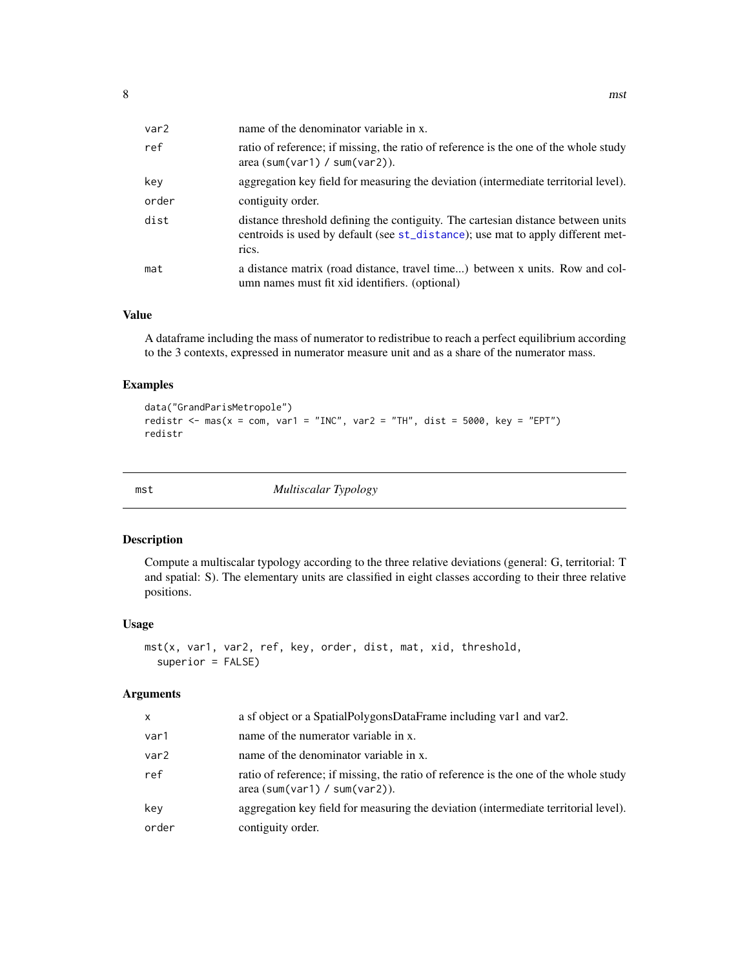<span id="page-7-0"></span>

| var2  | name of the denominator variable in x.                                                                                                                                       |
|-------|------------------------------------------------------------------------------------------------------------------------------------------------------------------------------|
| ref   | ratio of reference; if missing, the ratio of reference is the one of the whole study<br>area (sum(var1) / sum(var2)).                                                        |
| key   | aggregation key field for measuring the deviation (intermediate territorial level).                                                                                          |
| order | contiguity order.                                                                                                                                                            |
| dist  | distance threshold defining the contiguity. The cartesian distance between units<br>centroids is used by default (see st_distance); use mat to apply different met-<br>rics. |
| mat   | a distance matrix (road distance, travel time) between x units. Row and col-<br>umn names must fit xid identifiers. (optional)                                               |

#### Value

A dataframe including the mass of numerator to redistribue to reach a perfect equilibrium according to the 3 contexts, expressed in numerator measure unit and as a share of the numerator mass.

## Examples

```
data("GrandParisMetropole")
redistr <- mas(x = com, var1 = "INC", var2 = "TH", dist = 5000, key = "EPT")
redistr
```
<span id="page-7-1"></span>mst *Multiscalar Typology*

#### Description

Compute a multiscalar typology according to the three relative deviations (general: G, territorial: T and spatial: S). The elementary units are classified in eight classes according to their three relative positions.

## Usage

```
mst(x, var1, var2, ref, key, order, dist, mat, xid, threshold,
  superior = FALSE)
```

| x     | a sf object or a SpatialPolygonsDataFrame including var1 and var2.                                                   |
|-------|----------------------------------------------------------------------------------------------------------------------|
| var1  | name of the numerator variable in x.                                                                                 |
| var2  | name of the denominator variable in x.                                                                               |
| ref   | ratio of reference; if missing, the ratio of reference is the one of the whole study<br>area(sum(var1) / sum(var2)). |
| key   | aggregation key field for measuring the deviation (intermediate territorial level).                                  |
| order | contiguity order.                                                                                                    |
|       |                                                                                                                      |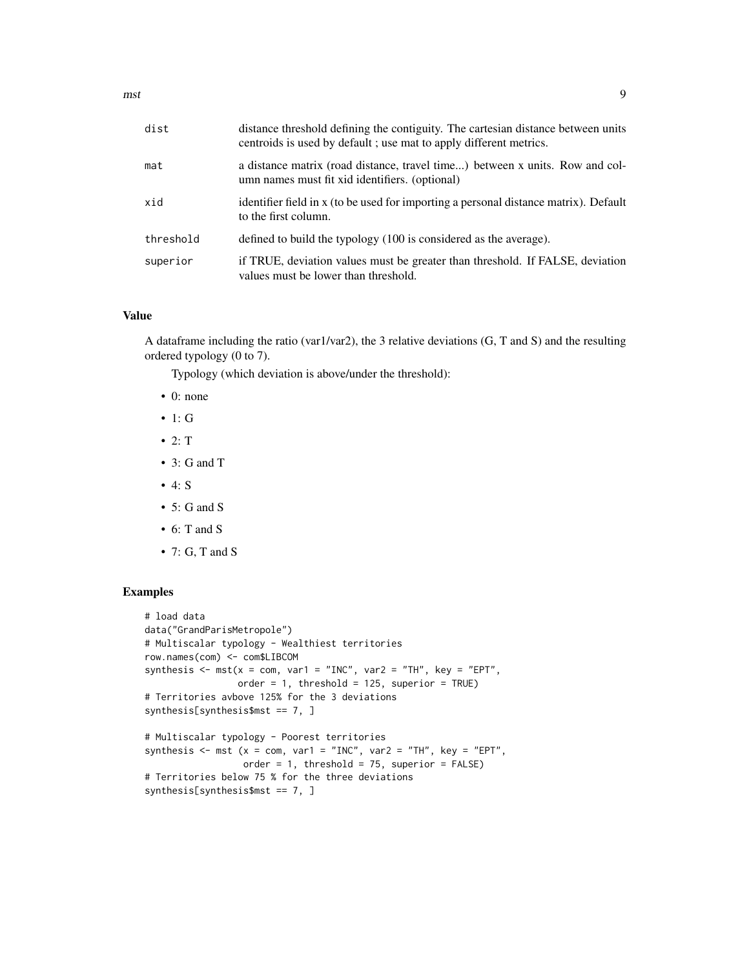| dist      | distance threshold defining the contiguity. The cartesian distance between units<br>centroids is used by default; use mat to apply different metrics. |
|-----------|-------------------------------------------------------------------------------------------------------------------------------------------------------|
| mat       | a distance matrix (road distance, travel time) between x units. Row and col-<br>umn names must fit xid identifiers. (optional)                        |
| xid       | identifier field in x (to be used for importing a personal distance matrix). Default<br>to the first column.                                          |
| threshold | defined to build the typology (100 is considered as the average).                                                                                     |
| superior  | if TRUE, deviation values must be greater than threshold. If FALSE, deviation<br>values must be lower than threshold.                                 |

### Value

A dataframe including the ratio (var1/var2), the 3 relative deviations (G, T and S) and the resulting ordered typology (0 to 7).

Typology (which deviation is above/under the threshold):

- 0: none
- 1: G
- $\bullet$  2: T
- 3: G and T
- 4: S
- $\bullet$  5: G and S
- 6: T and S
- $\bullet$  7: G, T and S

```
# load data
data("GrandParisMetropole")
# Multiscalar typology - Wealthiest territories
row.names(com) <- com$LIBCOM
synthesis \leq mst(x = com, var1 = "INC", var2 = "TH", key = "EPT",
                 order = 1, threshold = 125, superior = TRUE)
# Territories avbove 125% for the 3 deviations
synthesis[synthesis$mst == 7, ]
# Multiscalar typology - Poorest territories
synthesis \leq mst (x = com, var1 = "INC", var2 = "TH", key = "EPT",
```

```
order = 1, threshold = 75, superior = FALSE)# Territories below 75 % for the three deviations
synthesis[synthesis$mst == 7, ]
```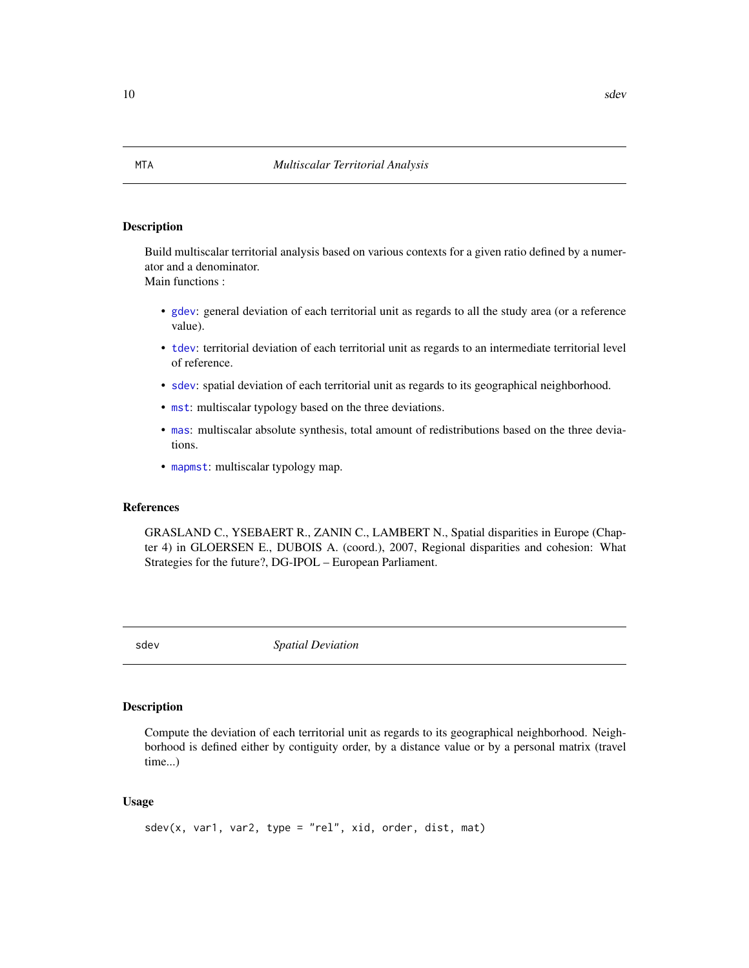#### Description

Build multiscalar territorial analysis based on various contexts for a given ratio defined by a numerator and a denominator.

Main functions :

- [gdev](#page-3-1): general deviation of each territorial unit as regards to all the study area (or a reference value).
- [tdev](#page-11-1): territorial deviation of each territorial unit as regards to an intermediate territorial level of reference.
- [sdev](#page-9-1): spatial deviation of each territorial unit as regards to its geographical neighborhood.
- [mst](#page-7-1): multiscalar typology based on the three deviations.
- [mas](#page-6-1): multiscalar absolute synthesis, total amount of redistributions based on the three deviations.
- [mapmst](#page-4-1): multiscalar typology map.

#### References

GRASLAND C., YSEBAERT R., ZANIN C., LAMBERT N., Spatial disparities in Europe (Chapter 4) in GLOERSEN E., DUBOIS A. (coord.), 2007, Regional disparities and cohesion: What Strategies for the future?, DG-IPOL – European Parliament.

<span id="page-9-1"></span>

sdev *Spatial Deviation*

## Description

Compute the deviation of each territorial unit as regards to its geographical neighborhood. Neighborhood is defined either by contiguity order, by a distance value or by a personal matrix (travel time...)

#### Usage

```
sdev(x, var1, var2, type = "rel", xid, order, dist, mat)
```
<span id="page-9-0"></span>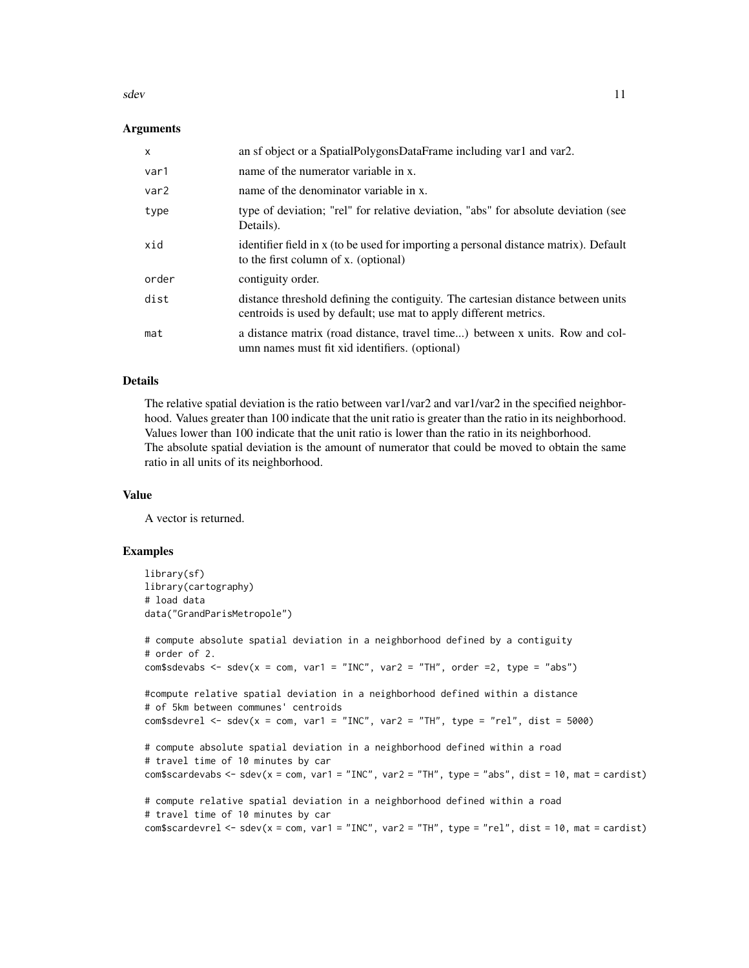sdev 11

#### **Arguments**

| $\mathsf{x}$ | an sf object or a SpatialPolygonsDataFrame including var1 and var2.                                                                                   |
|--------------|-------------------------------------------------------------------------------------------------------------------------------------------------------|
| var1         | name of the numerator variable in x.                                                                                                                  |
| var2         | name of the denominator variable in x.                                                                                                                |
| type         | type of deviation; "rel" for relative deviation, "abs" for absolute deviation (see<br>Details).                                                       |
| xid          | identifier field in x (to be used for importing a personal distance matrix). Default<br>to the first column of x. (optional)                          |
| order        | contiguity order.                                                                                                                                     |
| dist         | distance threshold defining the contiguity. The cartesian distance between units<br>centroids is used by default; use mat to apply different metrics. |
| mat          | a distance matrix (road distance, travel time) between x units. Row and col-<br>umn names must fit xid identifiers. (optional)                        |

#### Details

The relative spatial deviation is the ratio between var1/var2 and var1/var2 in the specified neighborhood. Values greater than 100 indicate that the unit ratio is greater than the ratio in its neighborhood. Values lower than 100 indicate that the unit ratio is lower than the ratio in its neighborhood. The absolute spatial deviation is the amount of numerator that could be moved to obtain the same ratio in all units of its neighborhood.

#### Value

A vector is returned.

```
library(sf)
library(cartography)
# load data
data("GrandParisMetropole")
# compute absolute spatial deviation in a neighborhood defined by a contiguity
# order of 2.
com$sdevabs \le sdev(x = com, var1 = "INC", var2 = "TH", order =2, type = "abs")
#compute relative spatial deviation in a neighborhood defined within a distance
# of 5km between communes' centroids
com$sdevrel <- sdev(x = com, var1 = "INC", var2 = "TH", type = "rel", dist = 5000)
# compute absolute spatial deviation in a neighborhood defined within a road
# travel time of 10 minutes by car
com$scardevabs <- sdev(x = com, var1 = "INC", var2 = "TH", type = "abs", dist = 10, mat = cardist)
# compute relative spatial deviation in a neighborhood defined within a road
# travel time of 10 minutes by car
com$scardevrel <- sdev(x = com, var1 = "INC", var2 = "TH", type = "rel", dist = 10, mat = cardist)
```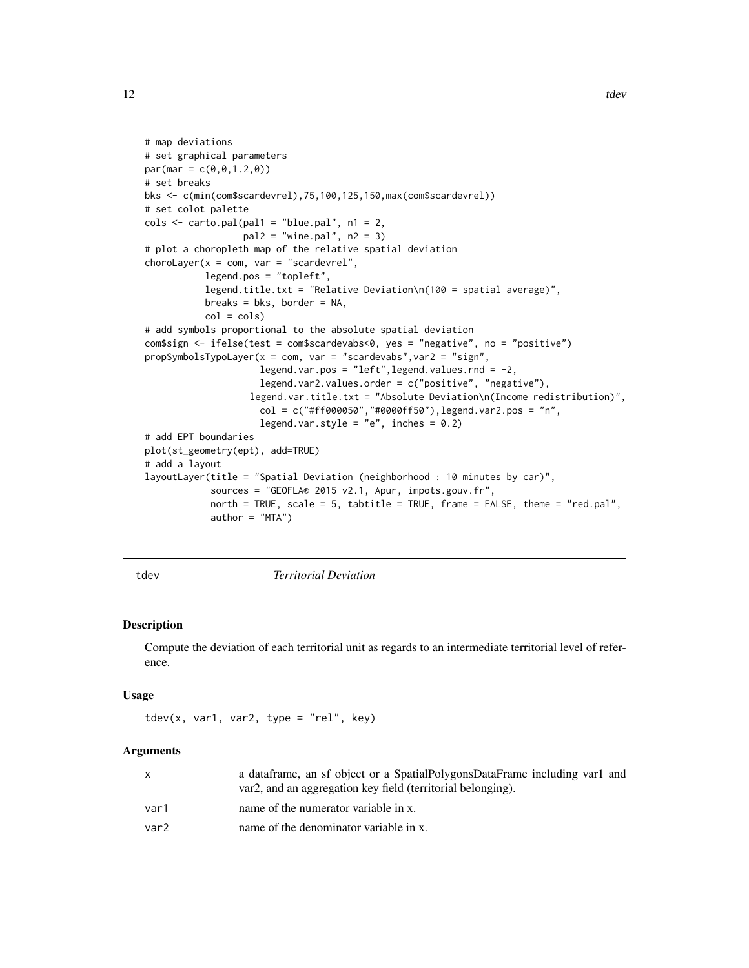```
# map deviations
# set graphical parameters
par(max = c(0, 0, 1.2, 0))# set breaks
bks <- c(min(com$scardevrel),75,100,125,150,max(com$scardevrel))
# set colot palette
\text{cols} \leq \text{carto.pal(pal1 = "blue.pal", n1 = 2},pal2 = "wine.pal", n2 = 3)# plot a choropleth map of the relative spatial deviation
chorolayer(x = com, var = "scarded",
           legend.pos = "topleft",
           legend.title.txt = "Relative Deviation\n(100 = spatial average)",
           breaks = bks, border = NA,
           col = cols# add symbols proportional to the absolute spatial deviation
com$sign <- ifelse(test = com$scardevabs<0, yes = "negative", no = "positive")
propSymbolsTypoLayer(x = com, var = "scardevabs",var2 = "sign",
                     legend.var.pos = "left", legend.values.rnd = -2,
                     legend.var2.values.order = c("positive", "negative"),
                   legend.var.title.txt = "Absolute Deviation\n(Income redistribution)",
                     col = c("#ff000050", "#0000ff50"), legend.var2.pos = "n",legend.var.style = "e", inches = 0.2)
# add EPT boundaries
plot(st_geometry(ept), add=TRUE)
# add a layout
layoutLayer(title = "Spatial Deviation (neighborhood : 10 minutes by car)",
            sources = "GEOFLA® 2015 v2.1, Apur, impots.gouv.fr",
            north = TRUE, scale = 5, tabtitle = TRUE, frame = FALSE, theme = "red.pal",
            author = "MTA")
```
tdev *Territorial Deviation*

#### Description

Compute the deviation of each territorial unit as regards to an intermediate territorial level of reference.

#### Usage

```
tdev(x, var1, var2, type = "rel", key)
```

| a data frame, an sf object or a Spatial Polygons Data Frame including varl and<br>var2, and an aggregation key field (territorial belonging). |
|-----------------------------------------------------------------------------------------------------------------------------------------------|
| name of the numerator variable in x.                                                                                                          |
| name of the denominator variable in x.                                                                                                        |
|                                                                                                                                               |

<span id="page-11-0"></span>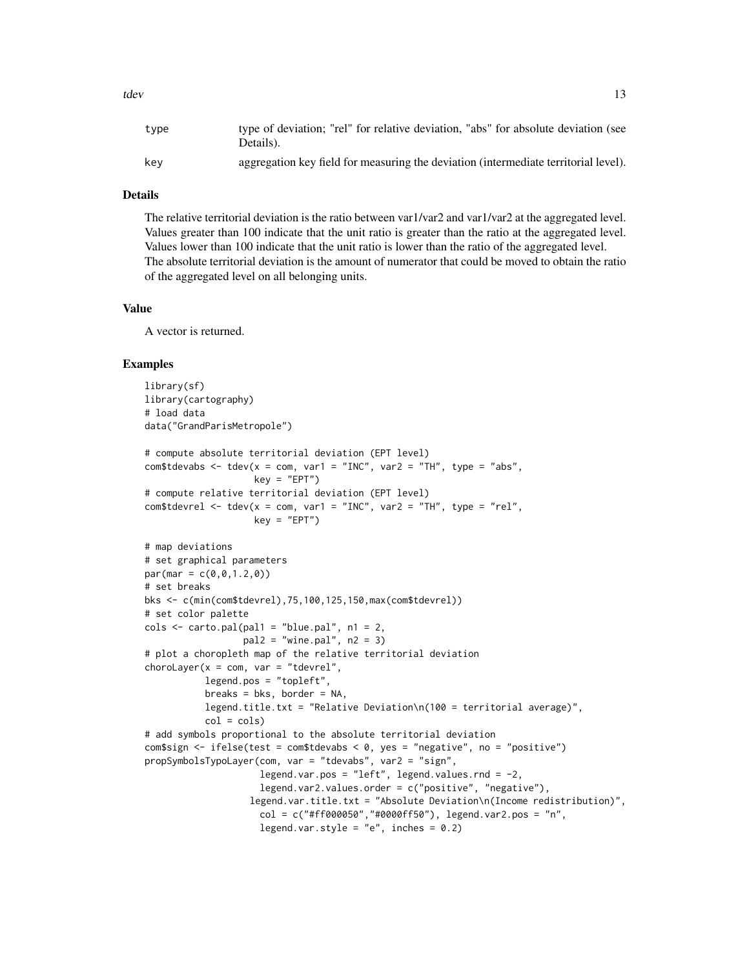## Details

The relative territorial deviation is the ratio between var1/var2 and var1/var2 at the aggregated level. Values greater than 100 indicate that the unit ratio is greater than the ratio at the aggregated level. Values lower than 100 indicate that the unit ratio is lower than the ratio of the aggregated level. The absolute territorial deviation is the amount of numerator that could be moved to obtain the ratio of the aggregated level on all belonging units.

#### Value

A vector is returned.

```
library(sf)
library(cartography)
# load data
data("GrandParisMetropole")
# compute absolute territorial deviation (EPT level)
com$tdevabs <- tdev(x = com, var1 = "INC", var2 = "TH", type = "abs",
                    key = "EPT")# compute relative territorial deviation (EPT level)
com$tdevrel <- tdev(x = com, var1 = "INC", var2 = "TH", type = "rel",
                    key = "EPT")# map deviations
# set graphical parameters
par(max = c(0, 0, 1, 2, 0))# set breaks
bks <- c(min(com$tdevrel),75,100,125,150,max(com$tdevrel))
# set color palette
\text{cols} \leq \text{carto.pal}(\text{pal1} = \text{"blue.pal", n1 = 2},pal2 = "wine.pal", n2 = 3)
# plot a choropleth map of the relative territorial deviation
chorolayer(x = com, var = "tdevrel",legend.pos = "topleft",
           breaks = bks, border = NA,
           legend.title.txt = "Relative Deviation\n(100 = territorial average)",
           col = cols# add symbols proportional to the absolute territorial deviation
com$sign <- ifelse(test = com$tdevabs < 0, yes = "negative", no = "positive")
propSymbolsTypoLayer(com, var = "tdevabs", var2 = "sign",
                     legend.var.pos = "left", legend.values.rnd = -2,
                     legend.var2.values.order = c("positive", "negative"),
                   legend.var.title.txt = "Absolute Deviation\n(Income redistribution)",
                     col = c("#ff000050", "#0000ff50"), legend.var2.pos = "n",legend.var.style = "e", inches = 0.2)
```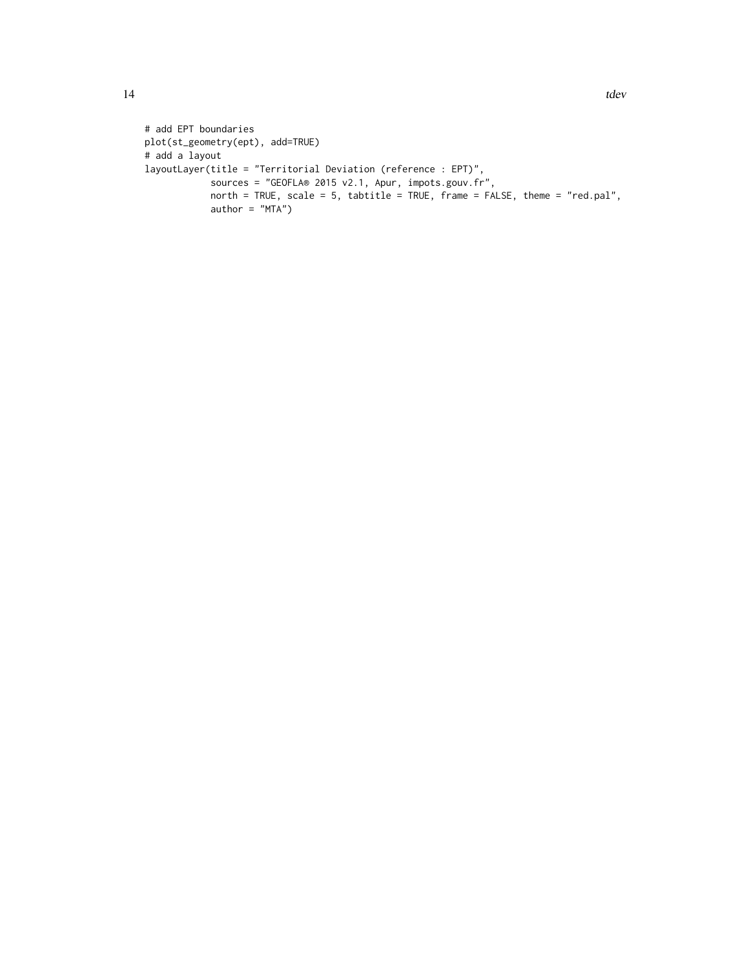```
# add EPT boundaries
plot(st_geometry(ept), add=TRUE)
# add a layout
layoutLayer(title = "Territorial Deviation (reference : EPT)",
            sources = "GEOFLA® 2015 v2.1, Apur, impots.gouv.fr",
            north = TRUE, scale = 5, tabtitle = TRUE, frame = FALSE, theme = "red.pal",
            author = "MTA")
```